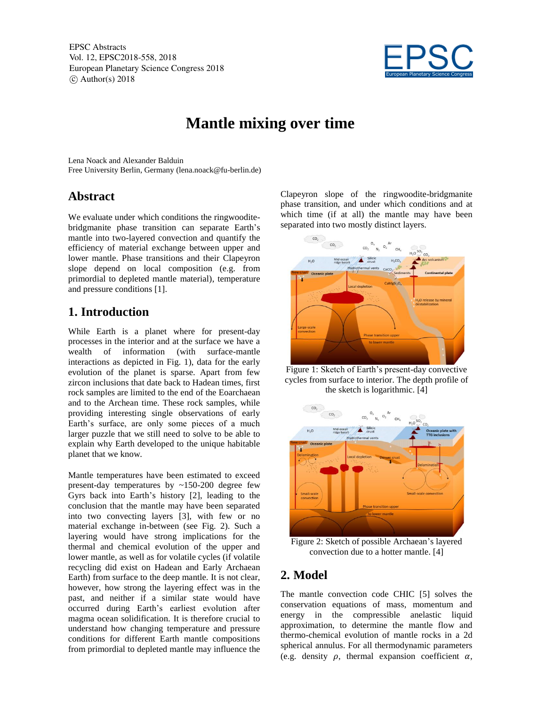EPSC Abstracts Vol. 12, EPSC2018-558, 2018 European Planetary Science Congress 2018  $\circ$  Author(s) 2018



# **Mantle mixing over time**

Lena Noack and Alexander Balduin Free University Berlin, Germany (lena.noack@fu-berlin.de)

## **Abstract**

We evaluate under which conditions the ringwooditebridgmanite phase transition can separate Earth's mantle into two-layered convection and quantify the efficiency of material exchange between upper and lower mantle. Phase transitions and their Clapeyron slope depend on local composition (e.g. from primordial to depleted mantle material), temperature and pressure conditions [1].

# **1. Introduction**

While Earth is a planet where for present-day processes in the interior and at the surface we have a wealth of information (with surface-mantle interactions as depicted in Fig. 1), data for the early evolution of the planet is sparse. Apart from few zircon inclusions that date back to Hadean times, first rock samples are limited to the end of the Eoarchaean and to the Archean time. These rock samples, while providing interesting single observations of early Earth's surface, are only some pieces of a much larger puzzle that we still need to solve to be able to explain why Earth developed to the unique habitable planet that we know.

Mantle temperatures have been estimated to exceed present-day temperatures by ~150-200 degree few Gyrs back into Earth's history [2], leading to the conclusion that the mantle may have been separated into two convecting layers [3], with few or no material exchange in-between (see Fig. 2). Such a layering would have strong implications for the thermal and chemical evolution of the upper and lower mantle, as well as for volatile cycles (if volatile recycling did exist on Hadean and Early Archaean Earth) from surface to the deep mantle. It is not clear, however, how strong the layering effect was in the past, and neither if a similar state would have occurred during Earth's earliest evolution after magma ocean solidification. It is therefore crucial to understand how changing temperature and pressure conditions for different Earth mantle compositions from primordial to depleted mantle may influence the

Clapeyron slope of the ringwoodite-bridgmanite phase transition, and under which conditions and at which time (if at all) the mantle may have been separated into two mostly distinct layers.



Figure 1: Sketch of Earth's present-day convective cycles from surface to interior. The depth profile of the sketch is logarithmic. [4]



Figure 2: Sketch of possible Archaean's layered convection due to a hotter mantle. [4]

#### **2. Model**

The mantle convection code CHIC [5] solves the conservation equations of mass, momentum and energy in the compressible anelastic liquid approximation, to determine the mantle flow and thermo-chemical evolution of mantle rocks in a 2d spherical annulus. For all thermodynamic parameters (e.g. density  $\rho$ , thermal expansion coefficient  $\alpha$ ,